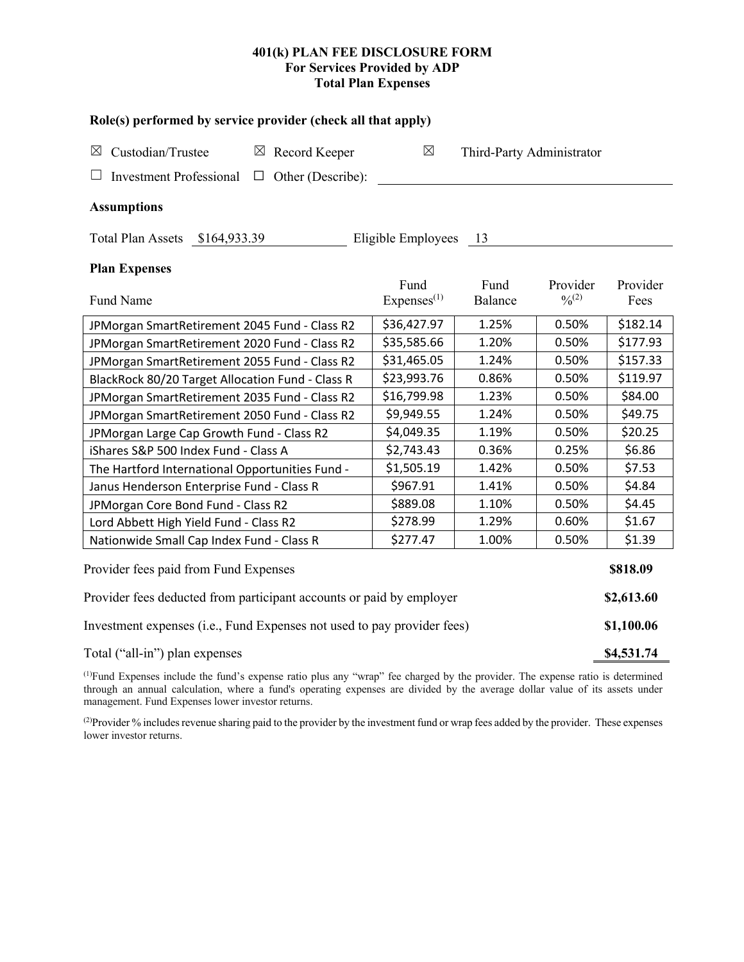# **401(k) PLAN FEE DISCLOSURE FORM For Services Provided by ADP Total Plan Expenses**

| Role(s) performed by service provider (check all that apply)            |                                |                           |                                          |                  |  |  |  |  |  |
|-------------------------------------------------------------------------|--------------------------------|---------------------------|------------------------------------------|------------------|--|--|--|--|--|
| Custodian/Trustee<br>$\boxtimes$ Record Keeper<br>$\boxtimes$           | $\boxtimes$                    | Third-Party Administrator |                                          |                  |  |  |  |  |  |
| $\Box$ Other (Describe):<br><b>Investment Professional</b>              |                                |                           |                                          |                  |  |  |  |  |  |
| <b>Assumptions</b>                                                      |                                |                           |                                          |                  |  |  |  |  |  |
| Total Plan Assets \$164,933.39                                          | Eligible Employees             | 13                        |                                          |                  |  |  |  |  |  |
| <b>Plan Expenses</b>                                                    |                                |                           |                                          |                  |  |  |  |  |  |
| Fund Name                                                               | Fund<br>Express <sup>(1)</sup> | Fund<br>Balance           | Provider<br>$\frac{0}{2}$ <sup>(2)</sup> | Provider<br>Fees |  |  |  |  |  |
| JPMorgan SmartRetirement 2045 Fund - Class R2                           | \$36,427.97                    | 1.25%                     | 0.50%                                    | \$182.14         |  |  |  |  |  |
| JPMorgan SmartRetirement 2020 Fund - Class R2                           | \$35,585.66                    | 1.20%                     | 0.50%                                    | \$177.93         |  |  |  |  |  |
| JPMorgan SmartRetirement 2055 Fund - Class R2                           | \$31,465.05                    | 1.24%                     | 0.50%                                    | \$157.33         |  |  |  |  |  |
| BlackRock 80/20 Target Allocation Fund - Class R                        | \$23,993.76                    | 0.86%                     | 0.50%                                    | \$119.97         |  |  |  |  |  |
| JPMorgan SmartRetirement 2035 Fund - Class R2                           | \$16,799.98                    | 1.23%                     | 0.50%                                    | \$84.00          |  |  |  |  |  |
| JPMorgan SmartRetirement 2050 Fund - Class R2                           | \$9,949.55                     | 1.24%                     | 0.50%                                    | \$49.75          |  |  |  |  |  |
| JPMorgan Large Cap Growth Fund - Class R2                               | \$4,049.35                     | 1.19%                     | 0.50%                                    | \$20.25          |  |  |  |  |  |
| iShares S&P 500 Index Fund - Class A                                    | \$2,743.43                     | 0.36%                     | 0.25%                                    | \$6.86           |  |  |  |  |  |
| The Hartford International Opportunities Fund -                         | \$1,505.19                     | 1.42%                     | 0.50%                                    | \$7.53           |  |  |  |  |  |
| Janus Henderson Enterprise Fund - Class R                               | \$967.91                       | 1.41%                     | 0.50%                                    | \$4.84           |  |  |  |  |  |
| JPMorgan Core Bond Fund - Class R2                                      | \$889.08                       | 1.10%                     | 0.50%                                    | \$4.45           |  |  |  |  |  |
| Lord Abbett High Yield Fund - Class R2                                  | \$278.99                       | 1.29%                     | 0.60%                                    | \$1.67           |  |  |  |  |  |
| Nationwide Small Cap Index Fund - Class R                               | \$277.47                       | 1.00%                     | 0.50%                                    | \$1.39           |  |  |  |  |  |
| Provider fees paid from Fund Expenses                                   |                                |                           |                                          |                  |  |  |  |  |  |
| Provider fees deducted from participant accounts or paid by employer    |                                |                           |                                          |                  |  |  |  |  |  |
| Investment expenses (i.e., Fund Expenses not used to pay provider fees) |                                |                           |                                          |                  |  |  |  |  |  |
| Total ("all-in") plan expenses                                          |                                |                           |                                          |                  |  |  |  |  |  |

(1) Fund Expenses include the fund's expense ratio plus any "wrap" fee charged by the provider. The expense ratio is determined through an annual calculation, where a fund's operating expenses are divided by the average dollar value of its assets under management. Fund Expenses lower investor returns.

(2) Provider % includes revenue sharing paid to the provider by the investment fund or wrap fees added by the provider. These expenses lower investor returns.